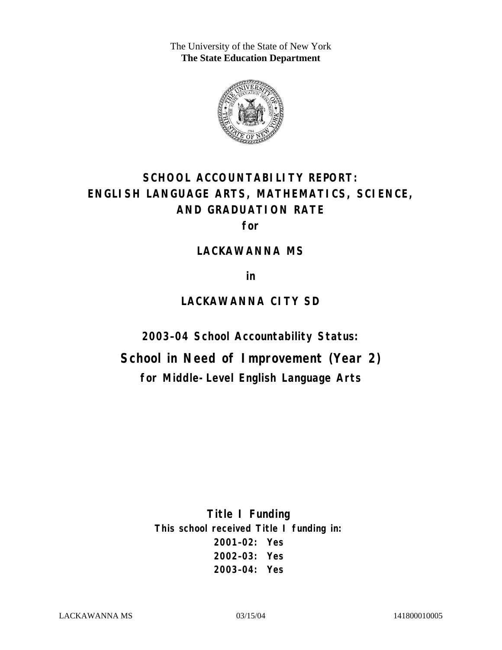The University of the State of New York **The State Education Department** 



# **SCHOOL ACCOUNTABILITY REPORT: ENGLISH LANGUAGE ARTS, MATHEMATICS, SCIENCE, AND GRADUATION RATE**

**for** 

#### **LACKAWANNA MS**

**in** 

# **LACKAWANNA CITY SD**

**2003–04 School Accountability Status:** 

**School in Need of Improvement (Year 2) for Middle-Level English Language Arts**

> **Title I Funding This school received Title I funding in: 2001–02: Yes 2002–03: Yes 2003–04: Yes**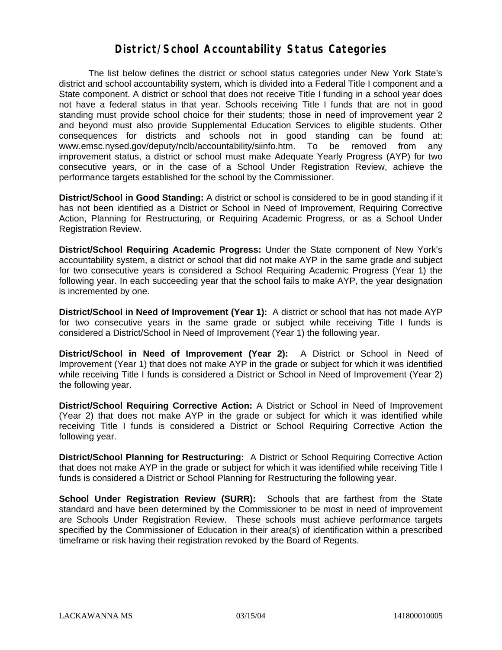#### **District/School Accountability Status Categories**

The list below defines the district or school status categories under New York State's district and school accountability system, which is divided into a Federal Title I component and a State component. A district or school that does not receive Title I funding in a school year does not have a federal status in that year. Schools receiving Title I funds that are not in good standing must provide school choice for their students; those in need of improvement year 2 and beyond must also provide Supplemental Education Services to eligible students. Other consequences for districts and schools not in good standing can be found at: www.emsc.nysed.gov/deputy/nclb/accountability/siinfo.htm. To be removed from any improvement status, a district or school must make Adequate Yearly Progress (AYP) for two consecutive years, or in the case of a School Under Registration Review, achieve the performance targets established for the school by the Commissioner.

**District/School in Good Standing:** A district or school is considered to be in good standing if it has not been identified as a District or School in Need of Improvement, Requiring Corrective Action, Planning for Restructuring, or Requiring Academic Progress, or as a School Under Registration Review.

**District/School Requiring Academic Progress:** Under the State component of New York's accountability system, a district or school that did not make AYP in the same grade and subject for two consecutive years is considered a School Requiring Academic Progress (Year 1) the following year. In each succeeding year that the school fails to make AYP, the year designation is incremented by one.

**District/School in Need of Improvement (Year 1):** A district or school that has not made AYP for two consecutive years in the same grade or subject while receiving Title I funds is considered a District/School in Need of Improvement (Year 1) the following year.

**District/School in Need of Improvement (Year 2):** A District or School in Need of Improvement (Year 1) that does not make AYP in the grade or subject for which it was identified while receiving Title I funds is considered a District or School in Need of Improvement (Year 2) the following year.

**District/School Requiring Corrective Action:** A District or School in Need of Improvement (Year 2) that does not make AYP in the grade or subject for which it was identified while receiving Title I funds is considered a District or School Requiring Corrective Action the following year.

**District/School Planning for Restructuring:** A District or School Requiring Corrective Action that does not make AYP in the grade or subject for which it was identified while receiving Title I funds is considered a District or School Planning for Restructuring the following year.

**School Under Registration Review (SURR):** Schools that are farthest from the State standard and have been determined by the Commissioner to be most in need of improvement are Schools Under Registration Review. These schools must achieve performance targets specified by the Commissioner of Education in their area(s) of identification within a prescribed timeframe or risk having their registration revoked by the Board of Regents.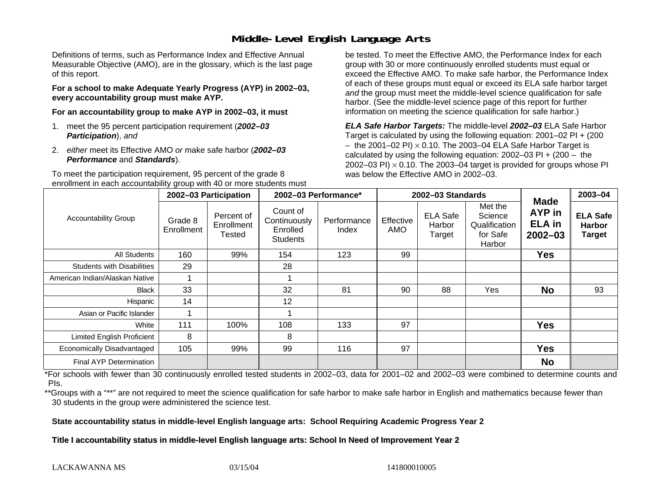## **Middle-Level English Language Arts**

Definitions of terms, such as Performance Index and Effective Annual Measurable Objective (AMO), are in the glossary, which is the last page of this report.

**For a school to make Adequate Yearly Progress (AYP) in 2002–03, every accountability group must make AYP.** 

**For an accountability group to make AYP in 2002–03, it must** 

- 1. meet the 95 percent participation requirement (*2002–03 Participation*), *and*
- 2. *either* meet its Effective AMO *or* make safe harbor (*2002–03 Performance* and *Standards*).

To meet the participation requirement, 95 percent of the grade 8 enrollment in each accountability group with 40 or more students must

be tested. To meet the Effective AMO, the Performance Index for each group with 30 or more continuously enrolled students must equal or exceed the Effective AMO. To make safe harbor, the Performance Index of each of these groups must equal or exceed its ELA safe harbor target *and* the group must meet the middle-level science qualification for safe harbor. (See the middle-level science page of this report for further information on meeting the science qualification for safe harbor.)

*ELA Safe Harbor Targets:* The middle-level *2002–03* ELA Safe Harbor Target is calculated by using the following equation: 2001–02 PI + (200  $-$  the 2001–02 PI)  $\times$  0.10. The 2003–04 ELA Safe Harbor Target is  $\,$ calculated by using the following equation:  $2002-03$  PI +  $(200 -$  the 2002–03 PI)  $\times$  0.10. The 2003–04 target is provided for groups whose PI was below the Effective AMO in 2002–03.

| <b>Accountability Group</b>       | 2002-03 Participation |                                    | 2002-03 Performance*                                    |                      | 2002-03 Standards |                                     |                                                           |                                                       | 2003-04                                           |
|-----------------------------------|-----------------------|------------------------------------|---------------------------------------------------------|----------------------|-------------------|-------------------------------------|-----------------------------------------------------------|-------------------------------------------------------|---------------------------------------------------|
|                                   | Grade 8<br>Enrollment | Percent of<br>Enrollment<br>Tested | Count of<br>Continuously<br>Enrolled<br><b>Students</b> | Performance<br>Index | Effective<br>AMO  | <b>ELA Safe</b><br>Harbor<br>Target | Met the<br>Science<br>Qualification<br>for Safe<br>Harbor | <b>Made</b><br>AYP in<br><b>ELA</b> in<br>$2002 - 03$ | <b>ELA Safe</b><br><b>Harbor</b><br><b>Target</b> |
| <b>All Students</b>               | 160                   | 99%                                | 154                                                     | 123                  | 99                |                                     |                                                           | <b>Yes</b>                                            |                                                   |
| <b>Students with Disabilities</b> | 29                    |                                    | 28                                                      |                      |                   |                                     |                                                           |                                                       |                                                   |
| American Indian/Alaskan Native    |                       |                                    |                                                         |                      |                   |                                     |                                                           |                                                       |                                                   |
| <b>Black</b>                      | 33                    |                                    | 32                                                      | 81                   | 90                | 88                                  | Yes                                                       | <b>No</b>                                             | 93                                                |
| Hispanic                          | 14                    |                                    | 12                                                      |                      |                   |                                     |                                                           |                                                       |                                                   |
| Asian or Pacific Islander         |                       |                                    |                                                         |                      |                   |                                     |                                                           |                                                       |                                                   |
| White                             | 111                   | 100%                               | 108                                                     | 133                  | 97                |                                     |                                                           | <b>Yes</b>                                            |                                                   |
| <b>Limited English Proficient</b> | 8                     |                                    | 8                                                       |                      |                   |                                     |                                                           |                                                       |                                                   |
| Economically Disadvantaged        | 105                   | 99%                                | 99                                                      | 116                  | 97                |                                     |                                                           | <b>Yes</b>                                            |                                                   |
| <b>Final AYP Determination</b>    |                       |                                    |                                                         |                      |                   |                                     |                                                           | <b>No</b>                                             |                                                   |

\*For schools with fewer than 30 continuously enrolled tested students in 2002–03, data for 2001–02 and 2002–03 were combined to determine counts and PIs.

\*\*Groups with a "\*\*" are not required to meet the science qualification for safe harbor to make safe harbor in English and mathematics because fewer than 30 students in the group were administered the science test.

**State accountability status in middle-level English language arts: School Requiring Academic Progress Year 2** 

Title I accountability status in middle-level English language arts: School In Need of Improvement Year 2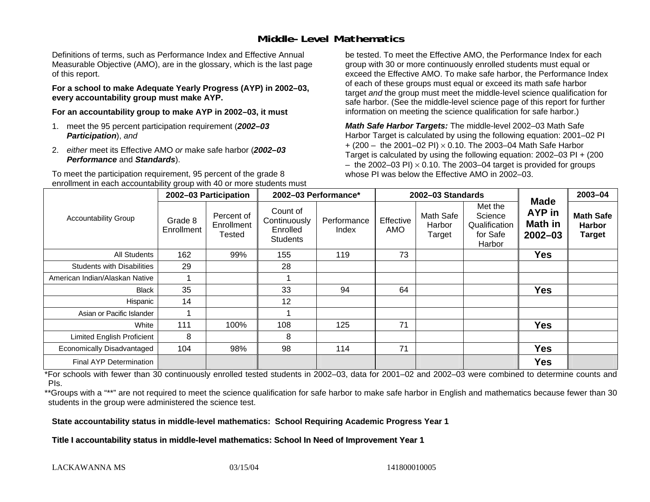## **Middle-Level Mathematics**

Definitions of terms, such as Performance Index and Effective Annual Measurable Objective (AMO), are in the glossary, which is the last page of this report.

**For a school to make Adequate Yearly Progress (AYP) in 2002–03, every accountability group must make AYP.** 

**For an accountability group to make AYP in 2002–03, it must** 

- 1. meet the 95 percent participation requirement (*2002–03 Participation*), *and*
- 2. *either* meet its Effective AMO *or* make safe harbor (*2002–03 Performance* and *Standards*).

To meet the participation requirement, 95 percent of the grade 8 enrollment in each accountability group with 40 or more students must be tested. To meet the Effective AMO, the Performance Index for each group with 30 or more continuously enrolled students must equal or exceed the Effective AMO. To make safe harbor, the Performance Index of each of these groups must equal or exceed its math safe harbor target *and* the group must meet the middle-level science qualification for safe harbor. (See the middle-level science page of this report for further information on meeting the science qualification for safe harbor.)

*Math Safe Harbor Targets:* The middle-level 2002–03 Math Safe Harbor Target is calculated by using the following equation: 2001–02 PI + (200 – the 2001–02 PI) × 0.10. The 2003–04 Math Safe Harbor Target is calculated by using the following equation: 2002–03 PI + (200  $-$  the 2002–03 PI)  $\times$  0.10. The 2003–04 target is provided for groups whose PI was below the Effective AMO in 2002–03

| <b>Accountability Group</b>       | 2002-03 Participation |                                           | 2002-03 Performance*                                    |                      | 2002-03 Standards |                               |                                                           |                                                        | $2003 - 04$                                        |
|-----------------------------------|-----------------------|-------------------------------------------|---------------------------------------------------------|----------------------|-------------------|-------------------------------|-----------------------------------------------------------|--------------------------------------------------------|----------------------------------------------------|
|                                   | Grade 8<br>Enrollment | Percent of<br>Enrollment<br><b>Tested</b> | Count of<br>Continuously<br>Enrolled<br><b>Students</b> | Performance<br>Index | Effective<br>AMO  | Math Safe<br>Harbor<br>Target | Met the<br>Science<br>Qualification<br>for Safe<br>Harbor | <b>Made</b><br><b>AYP</b> in<br>Math in<br>$2002 - 03$ | <b>Math Safe</b><br><b>Harbor</b><br><b>Target</b> |
| All Students                      | 162                   | 99%                                       | 155                                                     | 119                  | 73                |                               |                                                           | <b>Yes</b>                                             |                                                    |
| <b>Students with Disabilities</b> | 29                    |                                           | 28                                                      |                      |                   |                               |                                                           |                                                        |                                                    |
| American Indian/Alaskan Native    |                       |                                           |                                                         |                      |                   |                               |                                                           |                                                        |                                                    |
| <b>Black</b>                      | 35                    |                                           | 33                                                      | 94                   | 64                |                               |                                                           | <b>Yes</b>                                             |                                                    |
| Hispanic                          | 14                    |                                           | 12                                                      |                      |                   |                               |                                                           |                                                        |                                                    |
| Asian or Pacific Islander         |                       |                                           |                                                         |                      |                   |                               |                                                           |                                                        |                                                    |
| White                             | 111                   | 100%                                      | 108                                                     | 125                  | 71                |                               |                                                           | <b>Yes</b>                                             |                                                    |
| <b>Limited English Proficient</b> | 8                     |                                           | 8                                                       |                      |                   |                               |                                                           |                                                        |                                                    |
| Economically Disadvantaged        | 104                   | 98%                                       | 98                                                      | 114                  | 71                |                               |                                                           | <b>Yes</b>                                             |                                                    |
| Final AYP Determination           |                       |                                           |                                                         |                      |                   |                               |                                                           | <b>Yes</b>                                             |                                                    |

\*For schools with fewer than 30 continuously enrolled tested students in 2002–03, data for 2001–02 and 2002–03 were combined to determine counts and PIs.

\*\*Groups with a "\*\*" are not required to meet the science qualification for safe harbor to make safe harbor in English and mathematics because fewer than 30 students in the group were administered the science test.

**State accountability status in middle-level mathematics: School Requiring Academic Progress Year 1** 

Title I accountability status in middle-level mathematics: School In Need of Improvement Year 1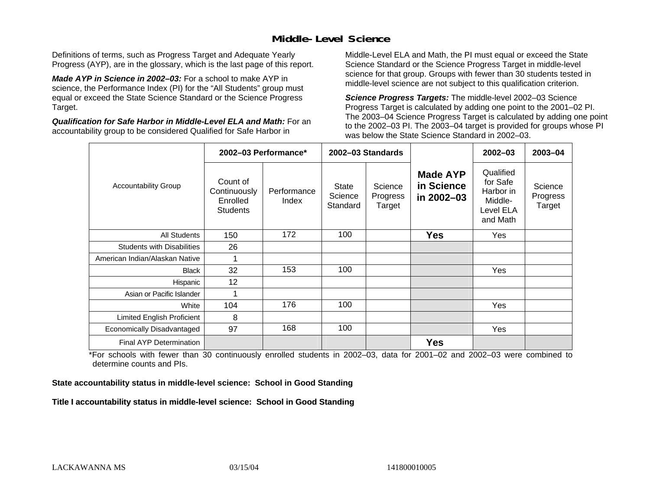## **Middle-Level Science**

Definitions of terms, such as Progress Target and Adequate Yearly Progress (AYP), are in the glossary, which is the last page of this report.

*Made AYP in Science in 2002–03:* For a school to make AYP in science, the Performance Index (PI) for the "All Students" group must equal or exceed the State Science Standard or the Science Progress Target.

*Qualification for Safe Harbor in Middle-Level ELA and Math:* For an accountability group to be considered Qualified for Safe Harbor in

Middle-Level ELA and Math, the PI must equal or exceed the State Science Standard or the Science Progress Target in middle-level science for that group. Groups with fewer than 30 students tested in middle-level science are not subject to this qualification criterion.

*Science Progress Targets:* The middle-level 2002–03 Science Progress Target is calculated by adding one point to the 2001–02 PI. The 2003–04 Science Progress Target is calculated by adding one point to the 2002–03 PI. The 2003–04 target is provided for groups whose PI was below the State Science Standard in 2002–03.

|                                   |                                                         | 2002-03 Performance* |                                     | 2002-03 Standards             |                                             | $2002 - 03$                                                            | $2003 - 04$                   |
|-----------------------------------|---------------------------------------------------------|----------------------|-------------------------------------|-------------------------------|---------------------------------------------|------------------------------------------------------------------------|-------------------------------|
| <b>Accountability Group</b>       | Count of<br>Continuously<br>Enrolled<br><b>Students</b> | Performance<br>Index | <b>State</b><br>Science<br>Standard | Science<br>Progress<br>Target | <b>Made AYP</b><br>in Science<br>in 2002-03 | Qualified<br>for Safe<br>Harbor in<br>Middle-<br>Level ELA<br>and Math | Science<br>Progress<br>Target |
| <b>All Students</b>               | 150                                                     | 172                  | 100                                 |                               | <b>Yes</b>                                  | Yes                                                                    |                               |
| <b>Students with Disabilities</b> | 26                                                      |                      |                                     |                               |                                             |                                                                        |                               |
| American Indian/Alaskan Native    | 1                                                       |                      |                                     |                               |                                             |                                                                        |                               |
| <b>Black</b>                      | 32                                                      | 153                  | 100                                 |                               |                                             | Yes                                                                    |                               |
| Hispanic                          | 12                                                      |                      |                                     |                               |                                             |                                                                        |                               |
| Asian or Pacific Islander         | 1                                                       |                      |                                     |                               |                                             |                                                                        |                               |
| White                             | 104                                                     | 176                  | 100                                 |                               |                                             | Yes                                                                    |                               |
| Limited English Proficient        | 8                                                       |                      |                                     |                               |                                             |                                                                        |                               |
| Economically Disadvantaged        | 97                                                      | 168                  | 100                                 |                               |                                             | Yes                                                                    |                               |
| <b>Final AYP Determination</b>    |                                                         |                      |                                     |                               | <b>Yes</b>                                  |                                                                        |                               |

\*For schools with fewer than 30 continuously enrolled students in 2002–03, data for 2001–02 and 2002–03 were combined to determine counts and PIs.

**State accountability status in middle-level science: School in Good Standing** 

Title I accountability status in middle-level science: School in Good Standing